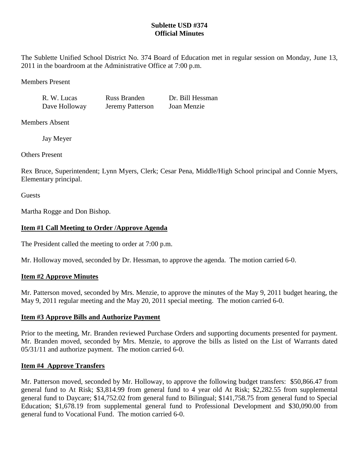## **Sublette USD #374 Official Minutes**

The Sublette Unified School District No. 374 Board of Education met in regular session on Monday, June 13, 2011 in the boardroom at the Administrative Office at 7:00 p.m.

Members Present

R. W. Lucas Russ Branden Dr. Bill Hessman Dave Holloway Jeremy Patterson Joan Menzie

Members Absent

Jay Meyer

Others Present

Rex Bruce, Superintendent; Lynn Myers, Clerk; Cesar Pena, Middle/High School principal and Connie Myers, Elementary principal.

**Guests** 

Martha Rogge and Don Bishop.

# **Item #1 Call Meeting to Order /Approve Agenda**

The President called the meeting to order at 7:00 p.m.

Mr. Holloway moved, seconded by Dr. Hessman, to approve the agenda. The motion carried 6-0.

# **Item #2 Approve Minutes**

Mr. Patterson moved, seconded by Mrs. Menzie, to approve the minutes of the May 9, 2011 budget hearing, the May 9, 2011 regular meeting and the May 20, 2011 special meeting. The motion carried 6-0.

# **Item #3 Approve Bills and Authorize Payment**

Prior to the meeting, Mr. Branden reviewed Purchase Orders and supporting documents presented for payment. Mr. Branden moved, seconded by Mrs. Menzie, to approve the bills as listed on the List of Warrants dated 05/31/11 and authorize payment. The motion carried 6-0.

# **Item #4 Approve Transfers**

Mr. Patterson moved, seconded by Mr. Holloway, to approve the following budget transfers: \$50,866.47 from general fund to At Risk; \$3,814.99 from general fund to 4 year old At Risk; \$2,282.55 from supplemental general fund to Daycare; \$14,752.02 from general fund to Bilingual; \$141,758.75 from general fund to Special Education; \$1,678.19 from supplemental general fund to Professional Development and \$30,090.00 from general fund to Vocational Fund. The motion carried 6-0.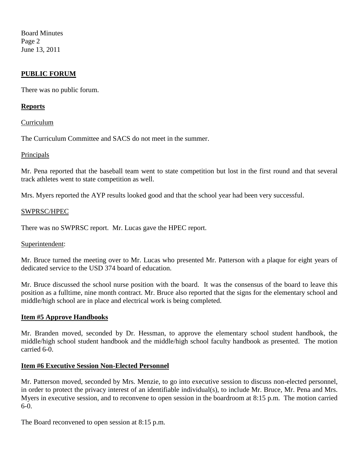Board Minutes Page 2 June 13, 2011

## **PUBLIC FORUM**

There was no public forum.

## **Reports**

Curriculum

The Curriculum Committee and SACS do not meet in the summer.

## Principals

Mr. Pena reported that the baseball team went to state competition but lost in the first round and that several track athletes went to state competition as well.

Mrs. Myers reported the AYP results looked good and that the school year had been very successful.

#### SWPRSC/HPEC

There was no SWPRSC report. Mr. Lucas gave the HPEC report.

## Superintendent:

Mr. Bruce turned the meeting over to Mr. Lucas who presented Mr. Patterson with a plaque for eight years of dedicated service to the USD 374 board of education.

Mr. Bruce discussed the school nurse position with the board. It was the consensus of the board to leave this position as a fulltime, nine month contract. Mr. Bruce also reported that the signs for the elementary school and middle/high school are in place and electrical work is being completed.

## **Item #5 Approve Handbooks**

Mr. Branden moved, seconded by Dr. Hessman, to approve the elementary school student handbook, the middle/high school student handbook and the middle/high school faculty handbook as presented. The motion carried 6-0.

## **Item #6 Executive Session Non-Elected Personnel**

Mr. Patterson moved, seconded by Mrs. Menzie, to go into executive session to discuss non-elected personnel, in order to protect the privacy interest of an identifiable individual(s), to include Mr. Bruce, Mr. Pena and Mrs. Myers in executive session, and to reconvene to open session in the boardroom at 8:15 p.m. The motion carried 6-0.

The Board reconvened to open session at 8:15 p.m.